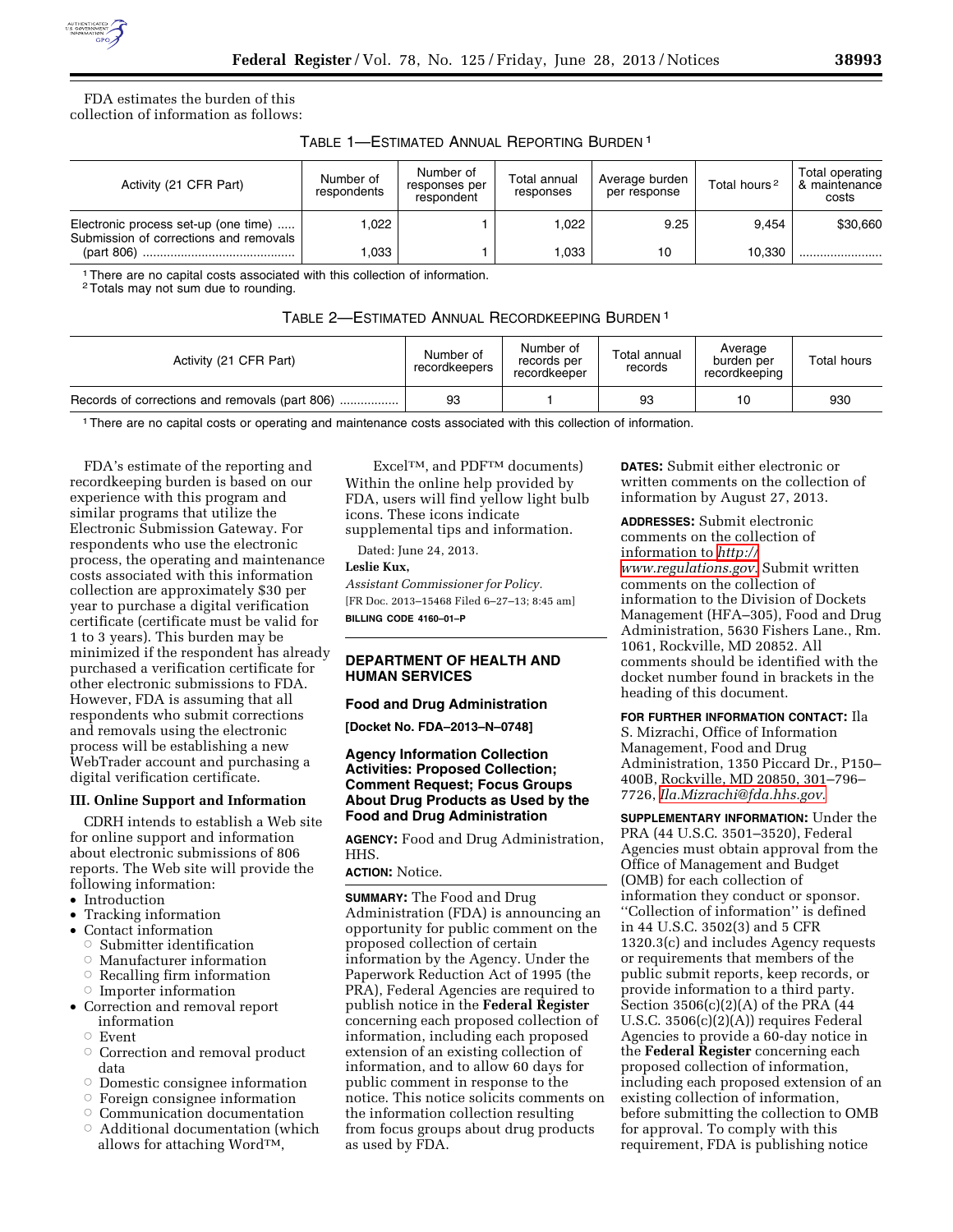

FDA estimates the burden of this collection of information as follows:

| TABLE 1-ESTIMATED ANNUAL REPORTING BURDEN <sup>1</sup> |  |  |  |
|--------------------------------------------------------|--|--|--|
|--------------------------------------------------------|--|--|--|

| Activity (21 CFR Part)                                                         | Number of<br>respondents | Number of<br>responses per<br>respondent | Total annual<br>responses | Average burden<br>per response | Total hours <sup>2</sup> | Total operating<br>& maintenance<br>costs |
|--------------------------------------------------------------------------------|--------------------------|------------------------------------------|---------------------------|--------------------------------|--------------------------|-------------------------------------------|
| Electronic process set-up (one time)<br>Submission of corrections and removals | .022                     |                                          | ۔022, ا                   | 9.25                           | 9.454                    | \$30,660                                  |
|                                                                                | 1,033                    |                                          | 1.033                     | 10                             | 10.330                   |                                           |

<sup>1</sup> There are no capital costs associated with this collection of information.

2Totals may not sum due to rounding.

| TABLE 2-ESTIMATED ANNUAL RECORDKEEPING BURDEN <sup>1</sup> |  |
|------------------------------------------------------------|--|
|------------------------------------------------------------|--|

| Activity (21 CFR Part)                         | Number of<br>recordkeepers | Number of<br>records per<br>recordkeeper | Total annual<br>records | Average<br>burden per<br>recordkeeping | Total hours |
|------------------------------------------------|----------------------------|------------------------------------------|-------------------------|----------------------------------------|-------------|
| Records of corrections and removals (part 806) | 93                         |                                          | 93                      | 10                                     | 930         |
|                                                |                            |                                          |                         |                                        |             |

1There are no capital costs or operating and maintenance costs associated with this collection of information.

FDA's estimate of the reporting and recordkeeping burden is based on our experience with this program and similar programs that utilize the Electronic Submission Gateway. For respondents who use the electronic process, the operating and maintenance costs associated with this information collection are approximately \$30 per year to purchase a digital verification certificate (certificate must be valid for 1 to 3 years). This burden may be minimized if the respondent has already purchased a verification certificate for other electronic submissions to FDA. However, FDA is assuming that all respondents who submit corrections and removals using the electronic process will be establishing a new WebTrader account and purchasing a digital verification certificate.

#### **III. Online Support and Information**

CDRH intends to establish a Web site for online support and information about electronic submissions of 806 reports. The Web site will provide the following information:

- Introduction
- Tracking information
- Contact information
	- ÆSubmitter identification
	- ÆManufacturer information
	- $\circ$  Recalling firm information
	- $\circ$  Importer information
- Correction and removal report information
	- $\circ$  Event
	- Æ Correction and removal product data
	- $\circ$  Domestic consignee information
	- $\circ$ Foreign consignee information
	- Æ Communication documentation
	- $\circ$  Additional documentation (which allows for attaching WordTM,

ExcelTM, and PDFTM documents) Within the online help provided by FDA, users will find yellow light bulb icons. These icons indicate supplemental tips and information.

Dated: June 24, 2013.

#### **Leslie Kux,**

*Assistant Commissioner for Policy.*  [FR Doc. 2013–15468 Filed 6–27–13; 8:45 am] **BILLING CODE 4160–01–P** 

## **DEPARTMENT OF HEALTH AND HUMAN SERVICES**

#### **Food and Drug Administration**

**[Docket No. FDA–2013–N–0748]** 

## **Agency Information Collection Activities: Proposed Collection; Comment Request; Focus Groups About Drug Products as Used by the Food and Drug Administration**

**AGENCY:** Food and Drug Administration, HHS.

# **ACTION:** Notice.

**SUMMARY:** The Food and Drug Administration (FDA) is announcing an opportunity for public comment on the proposed collection of certain information by the Agency. Under the Paperwork Reduction Act of 1995 (the PRA), Federal Agencies are required to publish notice in the **Federal Register**  concerning each proposed collection of information, including each proposed extension of an existing collection of information, and to allow 60 days for public comment in response to the notice. This notice solicits comments on the information collection resulting from focus groups about drug products as used by FDA.

**DATES:** Submit either electronic or written comments on the collection of information by August 27, 2013.

**ADDRESSES:** Submit electronic comments on the collection of information to *[http://](http://www.regulations.gov) [www.regulations.gov](http://www.regulations.gov)*. Submit written comments on the collection of information to the Division of Dockets Management (HFA–305), Food and Drug Administration, 5630 Fishers Lane., Rm. 1061, Rockville, MD 20852. All comments should be identified with the docket number found in brackets in the heading of this document.

**FOR FURTHER INFORMATION CONTACT:** Ila S. Mizrachi, Office of Information Management, Food and Drug Administration, 1350 Piccard Dr., P150– 400B, Rockville, MD 20850, 301–796– 7726, *[Ila.Mizrachi@fda.hhs.gov](mailto:Ila.Mizrachi@fda.hhs.gov)*.

**SUPPLEMENTARY INFORMATION:** Under the PRA (44 U.S.C. 3501–3520), Federal Agencies must obtain approval from the Office of Management and Budget (OMB) for each collection of information they conduct or sponsor. ''Collection of information'' is defined in 44 U.S.C. 3502(3) and 5 CFR 1320.3(c) and includes Agency requests or requirements that members of the public submit reports, keep records, or provide information to a third party. Section 3506(c)(2)(A) of the PRA (44 U.S.C. 3506(c)(2)(A)) requires Federal Agencies to provide a 60-day notice in the **Federal Register** concerning each proposed collection of information, including each proposed extension of an existing collection of information, before submitting the collection to OMB for approval. To comply with this requirement, FDA is publishing notice